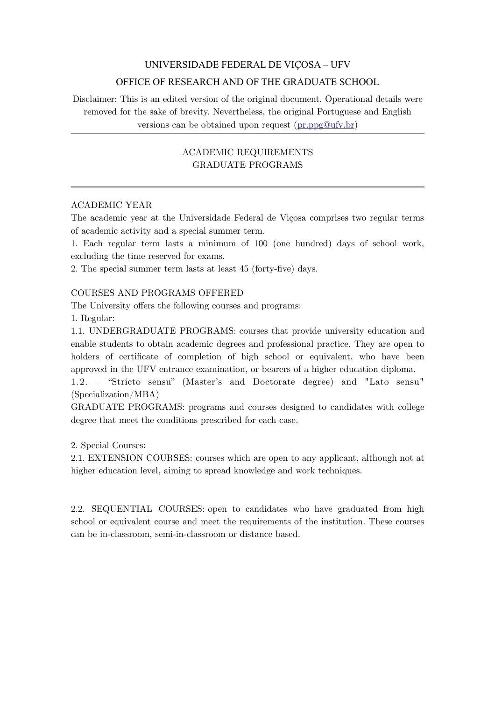# UNIVERSIDADE FEDERAL DE VIÇOSA – UFV OFFICE OF RESEARCH AND OF THE GRADUATE SCHOOL

Disclaimer: This is an edited version of the original document. Operational details were removed for the sake of brevity. Nevertheless, the original Portuguese and English versions can be obtained upon request [\(pr.ppg@ufv.br\)](mailto:pr.ppg@ufv.br)

# ACADEMIC REQUIREMENTS GRADUATE PROGRAMS

# ACADEMIC YEAR

The academic year at the Universidade Federal de Viçosa comprises two regular terms of academic activity and a special summer term.

1. Each regular term lasts a minimum of 100 (one hundred) days of school work, excluding the time reserved for exams.

2. The special summer term lasts at least 45 (forty-fve) days.

# COURSES AND PROGRAMS OFFERED

The University offers the following courses and programs:

1. Regular:

1.1. UNDERGRADUATE PROGRAMS: courses that provide university education and enable students to obtain academic degrees and professional practice. They are open to holders of certifcate of completion of high school or equivalent, who have been approved in the UFV entrance examination, or bearers of a higher education diploma.

1.2. – "Stricto sensu" (Master's and Doctorate degree) and "Lato sensu" (Specialization/MBA)

GRADUATE PROGRAMS: programs and courses designed to candidates with college degree that meet the conditions prescribed for each case.

2. Special Courses:

2.1. EXTENSION COURSES: courses which are open to any applicant, although not at higher education level, aiming to spread knowledge and work techniques.

2.2. SEQUENTIAL COURSES: open to candidates who have graduated from high school or equivalent course and meet the requirements of the institution. These courses can be in-classroom, semi-in-classroom or distance based.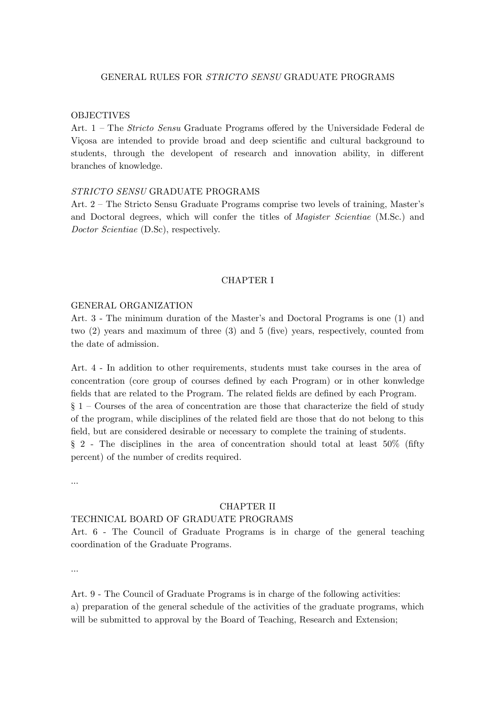#### **OBJECTIVES**

Art. 1 – The *Stricto Sensu* Graduate Programs ofered by the Universidade Federal de Viçosa are intended to provide broad and deep scientifc and cultural background to students, through the developent of research and innovation ability, in diferent branches of knowledge.

#### *STRICTO SENSU* GRADUATE PROGRAMS

Art. 2 – The Stricto Sensu Graduate Programs comprise two levels of training, Master's and Doctoral degrees, which will confer the titles of *Magister Scientiae* (M.Sc.) and *Doctor Scientiae* (D.Sc), respectively.

### CHAPTER I

### GENERAL ORGANIZATION

Art. 3 - The minimum duration of the Master's and Doctoral Programs is one (1) and two  $(2)$  years and maximum of three  $(3)$  and 5 (five) years, respectively, counted from the date of admission.

Art. 4 - In addition to other requirements, students must take courses in the area of concentration (core group of courses defned by each Program) or in other konwledge felds that are related to the Program. The related felds are defned by each Program. § 1 – Courses of the area of concentration are those that characterize the feld of study of the program, while disciplines of the related feld are those that do not belong to this feld, but are considered desirable or necessary to complete the training of students. § 2 - The disciplines in the area of concentration should total at least 50% (ffty percent) of the number of credits required.

...

#### CHAPTER II

### TECHNICAL BOARD OF GRADUATE PROGRAMS

Art. 6 - The Council of Graduate Programs is in charge of the general teaching coordination of the Graduate Programs.

…

Art. 9 - The Council of Graduate Programs is in charge of the following activities: a) preparation of the general schedule of the activities of the graduate programs, which will be submitted to approval by the Board of Teaching, Research and Extension;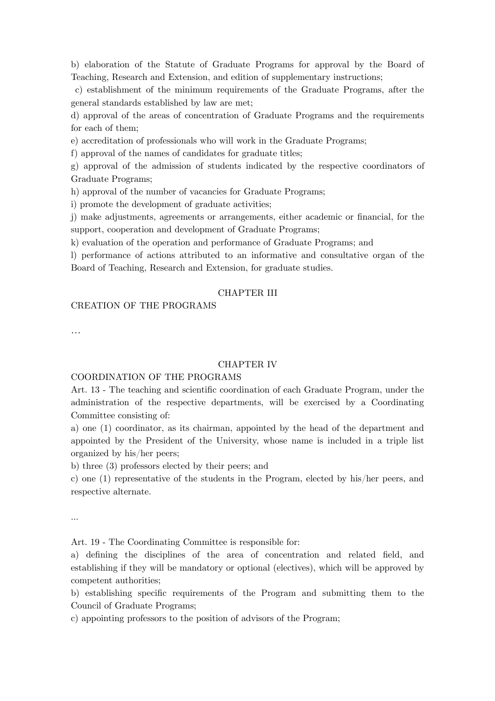b) elaboration of the Statute of Graduate Programs for approval by the Board of Teaching, Research and Extension, and edition of supplementary instructions;

c) establishment of the minimum requirements of the Graduate Programs, after the general standards established by law are met;

d) approval of the areas of concentration of Graduate Programs and the requirements for each of them;

e) accreditation of professionals who will work in the Graduate Programs;

f) approval of the names of candidates for graduate titles;

g) approval of the admission of students indicated by the respective coordinators of Graduate Programs;

h) approval of the number of vacancies for Graduate Programs;

i) promote the development of graduate activities;

j) make adjustments, agreements or arrangements, either academic or fnancial, for the support, cooperation and development of Graduate Programs;

k) evaluation of the operation and performance of Graduate Programs; and

l) performance of actions attributed to an informative and consultative organ of the Board of Teaching, Research and Extension, for graduate studies.

#### CHAPTER III

CREATION OF THE PROGRAMS

…

#### CHAPTER IV

# COORDINATION OF THE PROGRAMS

Art. 13 - The teaching and scientifc coordination of each Graduate Program, under the administration of the respective departments, will be exercised by a Coordinating Committee consisting of:

a) one (1) coordinator, as its chairman, appointed by the head of the department and appointed by the President of the University, whose name is included in a triple list organized by his/her peers;

b) three (3) professors elected by their peers; and

c) one (1) representative of the students in the Program, elected by his/her peers, and respective alternate.

…

Art. 19 - The Coordinating Committee is responsible for:

a) defning the disciplines of the area of concentration and related feld, and establishing if they will be mandatory or optional (electives), which will be approved by competent authorities;

b) establishing specifc requirements of the Program and submitting them to the Council of Graduate Programs;

c) appointing professors to the position of advisors of the Program;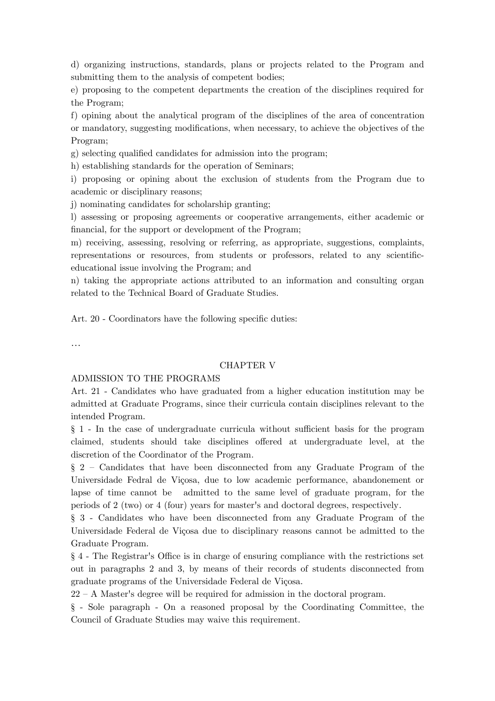d) organizing instructions, standards, plans or projects related to the Program and submitting them to the analysis of competent bodies;

e) proposing to the competent departments the creation of the disciplines required for the Program;

f) opining about the analytical program of the disciplines of the area of concentration or mandatory, suggesting modifcations, when necessary, to achieve the objectives of the Program;

g) selecting qualifed candidates for admission into the program;

h) establishing standards for the operation of Seminars;

i) proposing or opining about the exclusion of students from the Program due to academic or disciplinary reasons;

j) nominating candidates for scholarship granting;

l) assessing or proposing agreements or cooperative arrangements, either academic or fnancial, for the support or development of the Program;

m) receiving, assessing, resolving or referring, as appropriate, suggestions, complaints, representations or resources, from students or professors, related to any scientifceducational issue involving the Program; and

n) taking the appropriate actions attributed to an information and consulting organ related to the Technical Board of Graduate Studies.

Art. 20 - Coordinators have the following specifc duties:

…

#### CHAPTER V

#### ADMISSION TO THE PROGRAMS

Art. 21 - Candidates who have graduated from a higher education institution may be admitted at Graduate Programs, since their curricula contain disciplines relevant to the intended Program.

 $\S$  1 - In the case of undergraduate curricula without sufficient basis for the program claimed, students should take disciplines ofered at undergraduate level, at the discretion of the Coordinator of the Program.

§ 2 – Candidates that have been disconnected from any Graduate Program of the Universidade Fedral de Viçosa, due to low academic performance, abandonement or lapse of time cannot be admitted to the same level of graduate program, for the periods of 2 (two) or 4 (four) years for master's and doctoral degrees, respectively.

§ 3 - Candidates who have been disconnected from any Graduate Program of the Universidade Federal de Viçosa due to disciplinary reasons cannot be admitted to the Graduate Program.

 $\S$  4 - The Registrar's Office is in charge of ensuring compliance with the restrictions set out in paragraphs 2 and 3, by means of their records of students disconnected from graduate programs of the Universidade Federal de Viçosa.

22 – A Master's degree will be required for admission in the doctoral program.

§ - Sole paragraph - On a reasoned proposal by the Coordinating Committee, the Council of Graduate Studies may waive this requirement.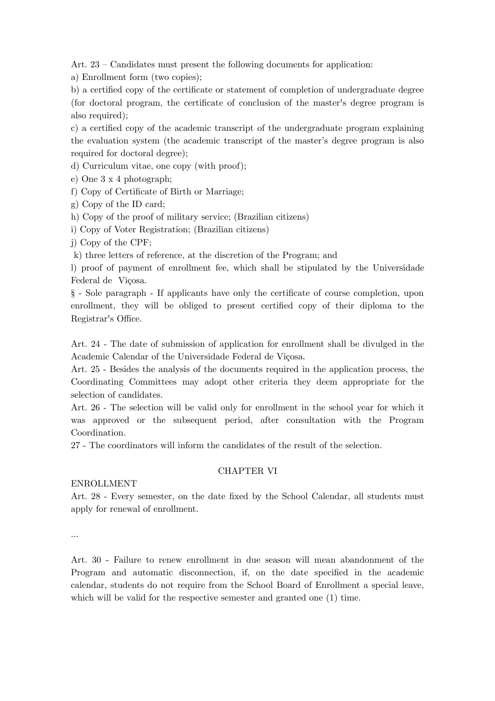Art. 23 – Candidates must present the following documents for application:

a) Enrollment form (two copies);

b) a certifed copy of the certifcate or statement of completion of undergraduate degree (for doctoral program, the certifcate of conclusion of the master's degree program is also required);

c) a certifed copy of the academic transcript of the undergraduate program explaining the evaluation system (the academic transcript of the master's degree program is also required for doctoral degree);

d) Curriculum vitae, one copy (with proof);

e) One 3 x 4 photograph;

f) Copy of Certifcate of Birth or Marriage;

g) Copy of the ID card;

h) Copy of the proof of military service; (Brazilian citizens)

i) Copy of Voter Registration; (Brazilian citizens)

j) Copy of the CPF;

k) three letters of reference, at the discretion of the Program; and

l) proof of payment of enrollment fee, which shall be stipulated by the Universidade Federal de Viçosa.

§ - Sole paragraph - If applicants have only the certifcate of course completion, upon enrollment, they will be obliged to present certifed copy of their diploma to the Registrar's Office.

Art. 24 - The date of submission of application for enrollment shall be divulged in the Academic Calendar of the Universidade Federal de Viçosa.

Art. 25 - Besides the analysis of the documents required in the application process, the Coordinating Committees may adopt other criteria they deem appropriate for the selection of candidates.

Art. 26 - The selection will be valid only for enrollment in the school year for which it was approved or the subsequent period, after consultation with the Program Coordination.

27 - The coordinators will inform the candidates of the result of the selection.

# CHAPTER VI

# ENROLLMENT

Art. 28 - Every semester, on the date fxed by the School Calendar, all students must apply for renewal of enrollment.

…

Art. 30 - Failure to renew enrollment in due season will mean abandonment of the Program and automatic disconnection, if, on the date specifed in the academic calendar, students do not require from the School Board of Enrollment a special leave, which will be valid for the respective semester and granted one  $(1)$  time.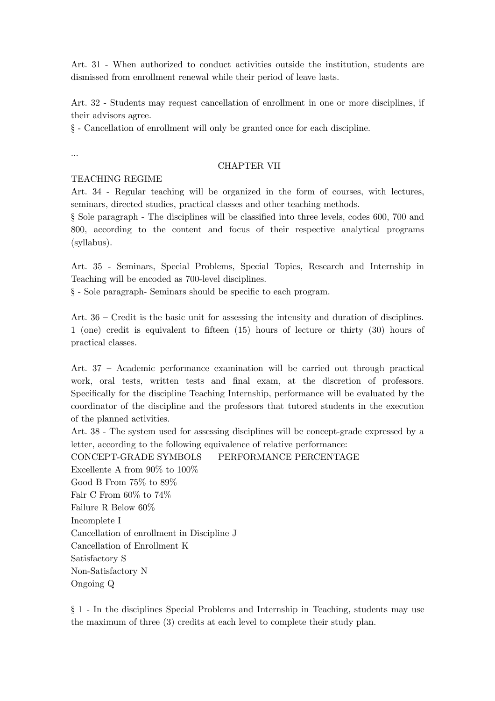Art. 31 - When authorized to conduct activities outside the institution, students are dismissed from enrollment renewal while their period of leave lasts.

Art. 32 - Students may request cancellation of enrollment in one or more disciplines, if their advisors agree.

§ - Cancellation of enrollment will only be granted once for each discipline.

...

# CHAPTER VII

# TEACHING REGIME

Art. 34 - Regular teaching will be organized in the form of courses, with lectures, seminars, directed studies, practical classes and other teaching methods.

§ Sole paragraph - The disciplines will be classifed into three levels, codes 600, 700 and 800, according to the content and focus of their respective analytical programs (syllabus).

Art. 35 - Seminars, Special Problems, Special Topics, Research and Internship in Teaching will be encoded as 700-level disciplines.

§ - Sole paragraph- Seminars should be specifc to each program.

Art. 36 – Credit is the basic unit for assessing the intensity and duration of disciplines. 1 (one) credit is equivalent to ffteen (15) hours of lecture or thirty (30) hours of practical classes.

Art. 37 – Academic performance examination will be carried out through practical work, oral tests, written tests and fnal exam, at the discretion of professors. Specifcally for the discipline Teaching Internship, performance will be evaluated by the coordinator of the discipline and the professors that tutored students in the execution of the planned activities.

Art. 38 - The system used for assessing disciplines will be concept-grade expressed by a letter, according to the following equivalence of relative performance:

CONCEPT-GRADE SYMBOLS PERFORMANCE PERCENTAGE Excellente A from 90% to 100% Good B From 75% to 89% Fair C From 60% to 74% Failure R Below 60% Incomplete I Cancellation of enrollment in Discipline J Cancellation of Enrollment K Satisfactory S Non-Satisfactory N Ongoing Q

§ 1 - In the disciplines Special Problems and Internship in Teaching, students may use the maximum of three (3) credits at each level to complete their study plan.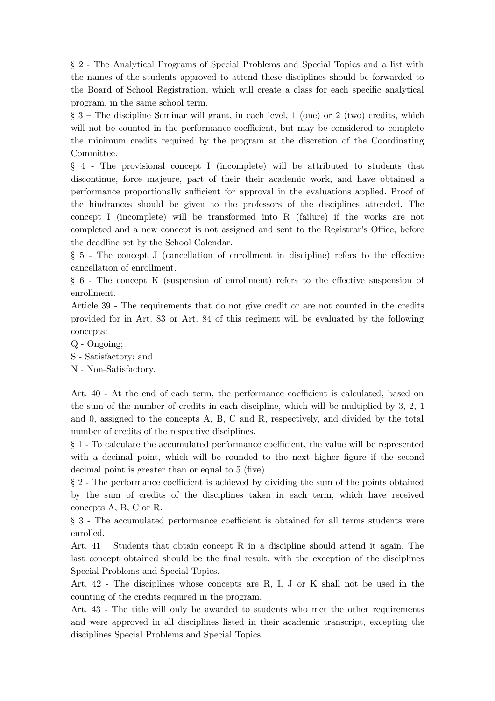§ 2 - The Analytical Programs of Special Problems and Special Topics and a list with the names of the students approved to attend these disciplines should be forwarded to the Board of School Registration, which will create a class for each specifc analytical program, in the same school term.

§ 3 – The discipline Seminar will grant, in each level, 1 (one) or 2 (two) credits, which will not be counted in the performance coefficient, but may be considered to complete the minimum credits required by the program at the discretion of the Coordinating Committee.

§ 4 - The provisional concept I (incomplete) will be attributed to students that discontinue, force majeure, part of their their academic work, and have obtained a performance proportionally sufficient for approval in the evaluations applied. Proof of the hindrances should be given to the professors of the disciplines attended. The concept I (incomplete) will be transformed into R (failure) if the works are not completed and a new concept is not assigned and sent to the Registrar's Office, before the deadline set by the School Calendar.

§ 5 - The concept J (cancellation of enrollment in discipline) refers to the efective cancellation of enrollment.

§ 6 - The concept K (suspension of enrollment) refers to the efective suspension of enrollment.

Article 39 - The requirements that do not give credit or are not counted in the credits provided for in Art. 83 or Art. 84 of this regiment will be evaluated by the following concepts:

- Q Ongoing;
- S Satisfactory; and
- N Non-Satisfactory.

Art.  $40$  - At the end of each term, the performance coefficient is calculated, based on the sum of the number of credits in each discipline, which will be multiplied by 3, 2, 1 and 0, assigned to the concepts A, B, C and R, respectively, and divided by the total number of credits of the respective disciplines.

§ 1 - To calculate the accumulated performance coefcient, the value will be represented with a decimal point, which will be rounded to the next higher fgure if the second decimal point is greater than or equal to 5 (five).

 $\S 2$  - The performance coefficient is achieved by dividing the sum of the points obtained by the sum of credits of the disciplines taken in each term, which have received concepts A, B, C or R.

 $\S$  3 - The accumulated performance coefficient is obtained for all terms students were enrolled.

Art. 41 – Students that obtain concept R in a discipline should attend it again. The last concept obtained should be the fnal result, with the exception of the disciplines Special Problems and Special Topics.

Art. 42 - The disciplines whose concepts are R, I, J or K shall not be used in the counting of the credits required in the program.

Art. 43 - The title will only be awarded to students who met the other requirements and were approved in all disciplines listed in their academic transcript, excepting the disciplines Special Problems and Special Topics.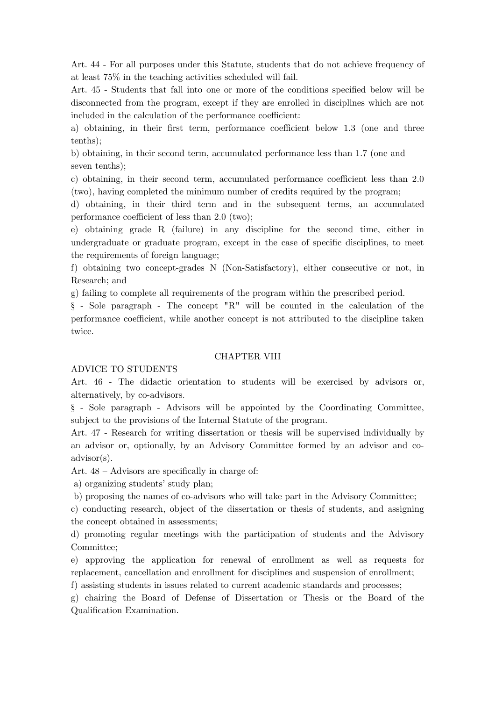Art. 44 - For all purposes under this Statute, students that do not achieve frequency of at least 75% in the teaching activities scheduled will fail.

Art. 45 - Students that fall into one or more of the conditions specifed below will be disconnected from the program, except if they are enrolled in disciplines which are not included in the calculation of the performance coefficient:

a) obtaining, in their first term, performance coefficient below  $1.3$  (one and three tenths);

b) obtaining, in their second term, accumulated performance less than 1.7 (one and seven tenths);

c) obtaining, in their second term, accumulated performance coefficient less than  $2.0$ (two), having completed the minimum number of credits required by the program;

d) obtaining, in their third term and in the subsequent terms, an accumulated performance coefficient of less than  $2.0$  (two);

e) obtaining grade R (failure) in any discipline for the second time, either in undergraduate or graduate program, except in the case of specifc disciplines, to meet the requirements of foreign language;

f) obtaining two concept-grades N (Non-Satisfactory), either consecutive or not, in Research; and

g) failing to complete all requirements of the program within the prescribed period.

§ - Sole paragraph - The concept "R" will be counted in the calculation of the performance coefficient, while another concept is not attributed to the discipline taken twice.

#### CHAPTER VIII

#### ADVICE TO STUDENTS

Art. 46 - The didactic orientation to students will be exercised by advisors or, alternatively, by co-advisors.

§ - Sole paragraph - Advisors will be appointed by the Coordinating Committee, subject to the provisions of the Internal Statute of the program.

Art. 47 - Research for writing dissertation or thesis will be supervised individually by an advisor or, optionally, by an Advisory Committee formed by an advisor and coadvisor(s).

Art. 48 – Advisors are specifcally in charge of:

a) organizing students' study plan;

b) proposing the names of co-advisors who will take part in the Advisory Committee;

c) conducting research, object of the dissertation or thesis of students, and assigning the concept obtained in assessments;

d) promoting regular meetings with the participation of students and the Advisory Committee;

e) approving the application for renewal of enrollment as well as requests for replacement, cancellation and enrollment for disciplines and suspension of enrollment;

f) assisting students in issues related to current academic standards and processes;

g) chairing the Board of Defense of Dissertation or Thesis or the Board of the Qualifcation Examination.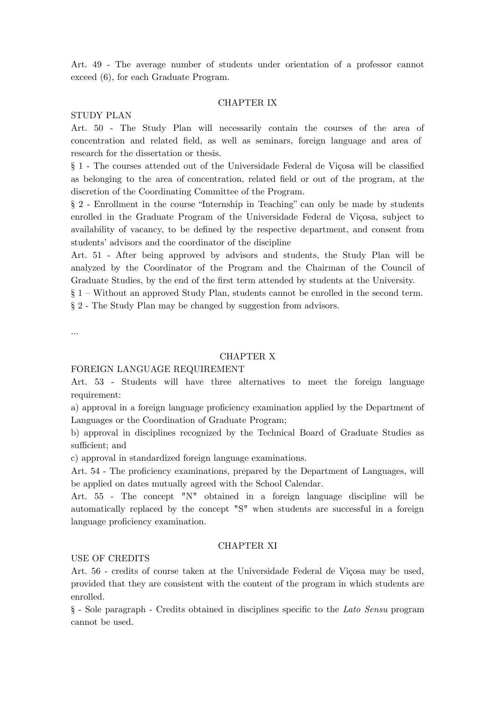Art. 49 - The average number of students under orientation of a professor cannot exceed (6), for each Graduate Program.

### CHAPTER IX

### STUDY PLAN

Art. 50 - The Study Plan will necessarily contain the courses of the area of concentration and related feld, as well as seminars, foreign language and area of research for the dissertation or thesis.

§ 1 - The courses attended out of the Universidade Federal de Viçosa will be classifed as belonging to the area of concentration, related feld or out of the program, at the discretion of the Coordinating Committee of the Program.

§ 2 - Enrollment in the course "Internship in Teaching" can only be made by students enrolled in the Graduate Program of the Universidade Federal de Viçosa, subject to availability of vacancy, to be defned by the respective department, and consent from students' advisors and the coordinator of the discipline

Art. 51 - After being approved by advisors and students, the Study Plan will be analyzed by the Coordinator of the Program and the Chairman of the Council of Graduate Studies, by the end of the frst term attended by students at the University.

§ 1 – Without an approved Study Plan, students cannot be enrolled in the second term. § 2 - The Study Plan may be changed by suggestion from advisors.

…

#### CHAPTER X

# FOREIGN LANGUAGE REQUIREMENT

Art. 53 - Students will have three alternatives to meet the foreign language requirement:

a) approval in a foreign language profciency examination applied by the Department of Languages or the Coordination of Graduate Program;

b) approval in disciplines recognized by the Technical Board of Graduate Studies as sufficient; and

c) approval in standardized foreign language examinations.

Art. 54 - The profciency examinations, prepared by the Department of Languages, will be applied on dates mutually agreed with the School Calendar.

Art. 55 - The concept "N" obtained in a foreign language discipline will be automatically replaced by the concept "S" when students are successful in a foreign language proficiency examination.

#### CHAPTER XI

USE OF CREDITS

Art. 56 - credits of course taken at the Universidade Federal de Viçosa may be used, provided that they are consistent with the content of the program in which students are enrolled.

§ - Sole paragraph - Credits obtained in disciplines specifc to the *Lato Sensu* program cannot be used.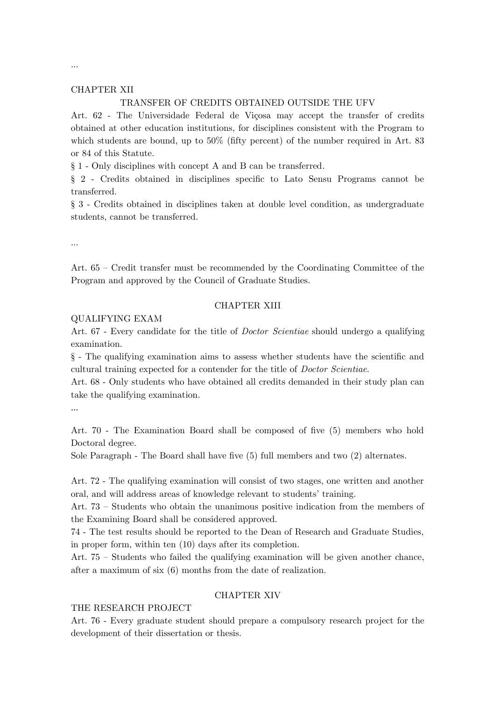#### CHAPTER XII

#### TRANSFER OF CREDITS OBTAINED OUTSIDE THE UFV

Art. 62 - The Universidade Federal de Viçosa may accept the transfer of credits obtained at other education institutions, for disciplines consistent with the Program to which students are bound, up to 50% (fifty percent) of the number required in Art. 83 or 84 of this Statute.

§ 1 - Only disciplines with concept A and B can be transferred.

§ 2 - Credits obtained in disciplines specifc to Lato Sensu Programs cannot be transferred.

§ 3 - Credits obtained in disciplines taken at double level condition, as undergraduate students, cannot be transferred.

...

Art. 65 – Credit transfer must be recommended by the Coordinating Committee of the Program and approved by the Council of Graduate Studies.

### CHAPTER XIII

#### QUALIFYING EXAM

Art. 67 - Every candidate for the title of *Doctor Scientiae* should undergo a qualifying examination.

§ - The qualifying examination aims to assess whether students have the scientifc and cultural training expected for a contender for the title of *Doctor Scientiae*.

Art. 68 - Only students who have obtained all credits demanded in their study plan can take the qualifying examination.

...

Art. 70 - The Examination Board shall be composed of fve (5) members who hold Doctoral degree.

Sole Paragraph - The Board shall have five  $(5)$  full members and two  $(2)$  alternates.

Art. 72 - The qualifying examination will consist of two stages, one written and another oral, and will address areas of knowledge relevant to students' training.

Art. 73 – Students who obtain the unanimous positive indication from the members of the Examining Board shall be considered approved.

74 - The test results should be reported to the Dean of Research and Graduate Studies, in proper form, within ten (10) days after its completion.

Art. 75 – Students who failed the qualifying examination will be given another chance, after a maximum of six (6) months from the date of realization.

# CHAPTER XIV

#### THE RESEARCH PROJECT

Art. 76 - Every graduate student should prepare a compulsory research project for the development of their dissertation or thesis.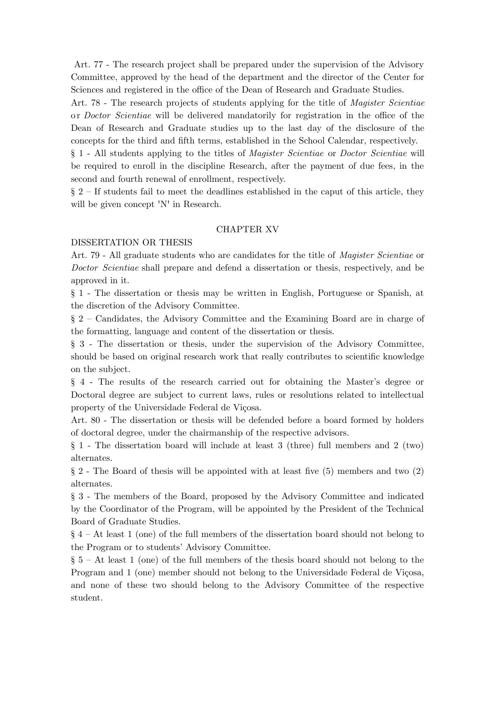Art. 77 - The research project shall be prepared under the supervision of the Advisory Committee, approved by the head of the department and the director of the Center for Sciences and registered in the office of the Dean of Research and Graduate Studies.

Art. 78 - The research projects of students applying for the title of *Magister Scientiae* or *Doctor Scientiae* will be delivered mandatorily for registration in the office of the Dean of Research and Graduate studies up to the last day of the disclosure of the concepts for the third and ffth terms, established in the School Calendar, respectively.

§ 1 - All students applying to the titles of *Magister Scientiae* or *Doctor Scientiae* will be required to enroll in the discipline Research, after the payment of due fees, in the second and fourth renewal of enrollment, respectively.

 $\S 2$  – If students fail to meet the deadlines established in the caput of this article, they will be given concept 'N' in Research.

#### CHAPTER XV

#### DISSERTATION OR THESIS

Art. 79 - All graduate students who are candidates for the title of *Magister Scientiae* or *Doctor Scientiae* shall prepare and defend a dissertation or thesis, respectively, and be approved in it.

§ 1 - The dissertation or thesis may be written in English, Portuguese or Spanish, at the discretion of the Advisory Committee.

§ 2 – Candidates, the Advisory Committee and the Examining Board are in charge of the formatting, language and content of the dissertation or thesis.

§ 3 - The dissertation or thesis, under the supervision of the Advisory Committee, should be based on original research work that really contributes to scientifc knowledge on the subject.

§ 4 - The results of the research carried out for obtaining the Master's degree or Doctoral degree are subject to current laws, rules or resolutions related to intellectual property of the Universidade Federal de Viçosa.

Art. 80 - The dissertation or thesis will be defended before a board formed by holders of doctoral degree, under the chairmanship of the respective advisors.

§ 1 - The dissertation board will include at least 3 (three) full members and 2 (two) alternates.

§ 2 - The Board of thesis will be appointed with at least fve (5) members and two (2) alternates.

§ 3 - The members of the Board, proposed by the Advisory Committee and indicated by the Coordinator of the Program, will be appointed by the President of the Technical Board of Graduate Studies.

 $\S 4 - At least 1 (one) of the full members of the dissertation board should not belong to$ the Program or to students' Advisory Committee.

 $\S$  5 – At least 1 (one) of the full members of the thesis board should not belong to the Program and 1 (one) member should not belong to the Universidade Federal de Viçosa, and none of these two should belong to the Advisory Committee of the respective student.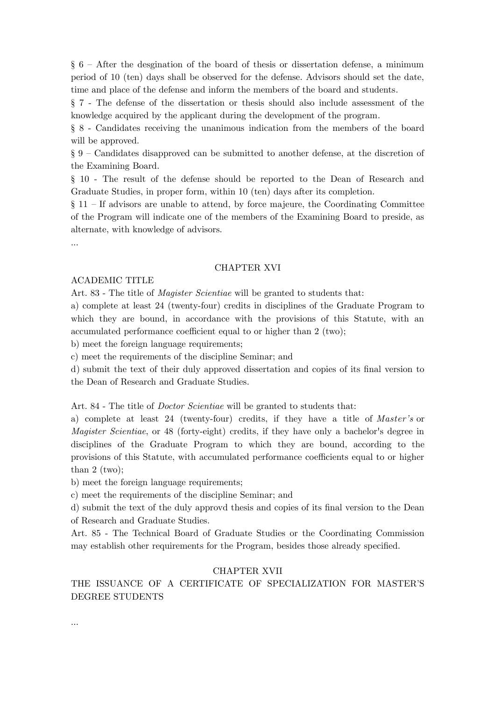§ 6 – After the desgination of the board of thesis or dissertation defense, a minimum period of 10 (ten) days shall be observed for the defense. Advisors should set the date, time and place of the defense and inform the members of the board and students.

§ 7 - The defense of the dissertation or thesis should also include assessment of the knowledge acquired by the applicant during the development of the program.

§ 8 - Candidates receiving the unanimous indication from the members of the board will be approved.

§ 9 – Candidates disapproved can be submitted to another defense, at the discretion of the Examining Board.

§ 10 - The result of the defense should be reported to the Dean of Research and Graduate Studies, in proper form, within 10 (ten) days after its completion.

§ 11 – If advisors are unable to attend, by force majeure, the Coordinating Committee of the Program will indicate one of the members of the Examining Board to preside, as alternate, with knowledge of advisors.

...

#### CHAPTER XVI

#### ACADEMIC TITLE

Art. 83 - The title of *Magister Scientiae* will be granted to students that:

a) complete at least 24 (twenty-four) credits in disciplines of the Graduate Program to which they are bound, in accordance with the provisions of this Statute, with an accumulated performance coefficient equal to or higher than  $2 \text{ (two)}$ ;

b) meet the foreign language requirements;

c) meet the requirements of the discipline Seminar; and

d) submit the text of their duly approved dissertation and copies of its fnal version to the Dean of Research and Graduate Studies.

Art. 84 - The title of *Doctor Scientiae* will be granted to students that:

a) complete at least 24 (twenty-four) credits, if they have a title of *Master's* or *Magister Scientiae*, or 48 (forty-eight) credits, if they have only a bachelor's degree in disciplines of the Graduate Program to which they are bound, according to the provisions of this Statute, with accumulated performance coefficients equal to or higher than 2 (two);

b) meet the foreign language requirements;

c) meet the requirements of the discipline Seminar; and

d) submit the text of the duly approvd thesis and copies of its fnal version to the Dean of Research and Graduate Studies.

Art. 85 - The Technical Board of Graduate Studies or the Coordinating Commission may establish other requirements for the Program, besides those already specifed.

#### CHAPTER XVII

THE ISSUANCE OF A CERTIFICATE OF SPECIALIZATION FOR MASTER'S DEGREE STUDENTS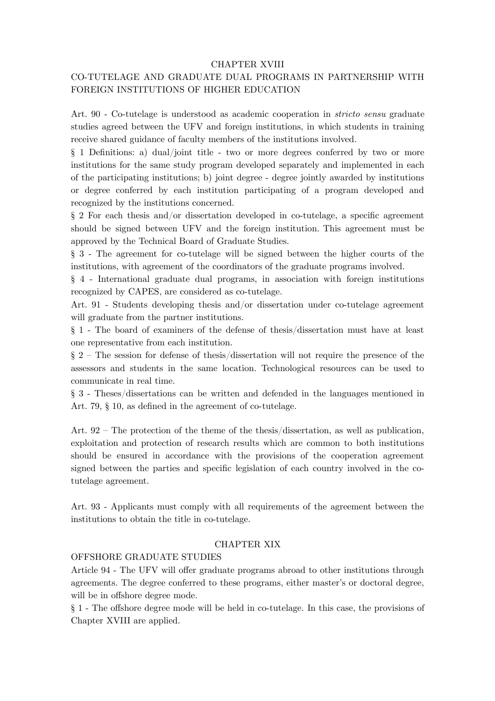#### CHAPTER XVIII

# CO-TUTELAGE AND GRADUATE DUAL PROGRAMS IN PARTNERSHIP WITH FOREIGN INSTITUTIONS OF HIGHER EDUCATION

Art. 90 - Co-tutelage is understood as academic cooperation in *stricto sensu* graduate studies agreed between the UFV and foreign institutions, in which students in training receive shared guidance of faculty members of the institutions involved.

§ 1 Defnitions: a) dual/joint title - two or more degrees conferred by two or more institutions for the same study program developed separately and implemented in each of the participating institutions; b) joint degree - degree jointly awarded by institutions or degree conferred by each institution participating of a program developed and recognized by the institutions concerned.

§ 2 For each thesis and/or dissertation developed in co-tutelage, a specifc agreement should be signed between UFV and the foreign institution. This agreement must be approved by the Technical Board of Graduate Studies.

§ 3 - The agreement for co-tutelage will be signed between the higher courts of the institutions, with agreement of the coordinators of the graduate programs involved.

§ 4 - International graduate dual programs, in association with foreign institutions recognized by CAPES, are considered as co-tutelage.

Art. 91 - Students developing thesis and/or dissertation under co-tutelage agreement will graduate from the partner institutions.

§ 1 - The board of examiners of the defense of thesis/dissertation must have at least one representative from each institution.

 $\S 2$  – The session for defense of thesis/dissertation will not require the presence of the assessors and students in the same location. Technological resources can be used to communicate in real time.

§ 3 - Theses/dissertations can be written and defended in the languages mentioned in Art. 79, § 10, as defned in the agreement of co-tutelage.

Art. 92 – The protection of the theme of the thesis/dissertation, as well as publication, exploitation and protection of research results which are common to both institutions should be ensured in accordance with the provisions of the cooperation agreement signed between the parties and specifc legislation of each country involved in the cotutelage agreement.

Art. 93 - Applicants must comply with all requirements of the agreement between the institutions to obtain the title in co-tutelage.

#### CHAPTER XIX

# OFFSHORE GRADUATE STUDIES

Article 94 - The UFV will offer graduate programs abroad to other institutions through agreements. The degree conferred to these programs, either master's or doctoral degree, will be in offshore degree mode.

§ 1 - The ofshore degree mode will be held in co-tutelage. In this case, the provisions of Chapter XVIII are applied.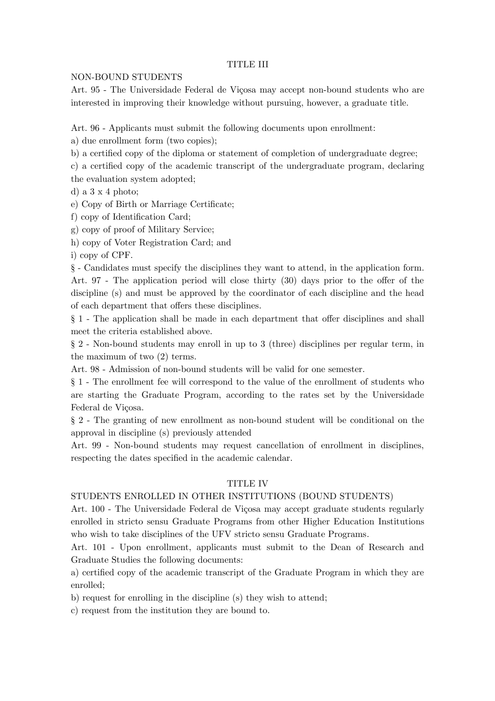# TITLE III

# NON-BOUND STUDENTS

Art. 95 - The Universidade Federal de Viçosa may accept non-bound students who are interested in improving their knowledge without pursuing, however, a graduate title.

Art. 96 - Applicants must submit the following documents upon enrollment:

a) due enrollment form (two copies);

b) a certifed copy of the diploma or statement of completion of undergraduate degree;

c) a certifed copy of the academic transcript of the undergraduate program, declaring the evaluation system adopted;

d) a 3 x 4 photo;

e) Copy of Birth or Marriage Certifcate;

f) copy of Identifcation Card;

g) copy of proof of Military Service;

h) copy of Voter Registration Card; and

i) copy of CPF.

§ - Candidates must specify the disciplines they want to attend, in the application form. Art. 97 - The application period will close thirty (30) days prior to the ofer of the discipline (s) and must be approved by the coordinator of each discipline and the head of each department that ofers these disciplines.

§ 1 - The application shall be made in each department that ofer disciplines and shall meet the criteria established above.

§ 2 - Non-bound students may enroll in up to 3 (three) disciplines per regular term, in the maximum of two (2) terms.

Art. 98 - Admission of non-bound students will be valid for one semester.

§ 1 - The enrollment fee will correspond to the value of the enrollment of students who are starting the Graduate Program, according to the rates set by the Universidade Federal de Viçosa.

§ 2 - The granting of new enrollment as non-bound student will be conditional on the approval in discipline (s) previously attended

Art. 99 - Non-bound students may request cancellation of enrollment in disciplines, respecting the dates specifed in the academic calendar.

# TITLE IV

# STUDENTS ENROLLED IN OTHER INSTITUTIONS (BOUND STUDENTS)

Art. 100 - The Universidade Federal de Viçosa may accept graduate students regularly enrolled in stricto sensu Graduate Programs from other Higher Education Institutions who wish to take disciplines of the UFV stricto sensu Graduate Programs.

Art. 101 - Upon enrollment, applicants must submit to the Dean of Research and Graduate Studies the following documents:

a) certifed copy of the academic transcript of the Graduate Program in which they are enrolled;

b) request for enrolling in the discipline (s) they wish to attend;

c) request from the institution they are bound to.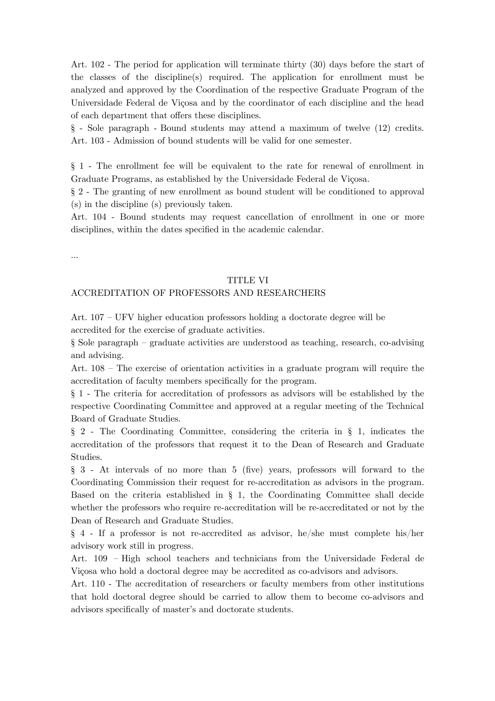Art. 102 - The period for application will terminate thirty (30) days before the start of the classes of the discipline(s) required. The application for enrollment must be analyzed and approved by the Coordination of the respective Graduate Program of the Universidade Federal de Viçosa and by the coordinator of each discipline and the head of each department that ofers these disciplines.

§ - Sole paragraph - Bound students may attend a maximum of twelve (12) credits. Art. 103 - Admission of bound students will be valid for one semester.

§ 1 - The enrollment fee will be equivalent to the rate for renewal of enrollment in Graduate Programs, as established by the Universidade Federal de Viçosa.

§ 2 - The granting of new enrollment as bound student will be conditioned to approval (s) in the discipline (s) previously taken.

Art. 104 - Bound students may request cancellation of enrollment in one or more disciplines, within the dates specifed in the academic calendar.

...

### TITLE VI

#### ACCREDITATION OF PROFESSORS AND RESEARCHERS

Art. 107 – UFV higher education professors holding a doctorate degree will be accredited for the exercise of graduate activities.

§ Sole paragraph – graduate activities are understood as teaching, research, co-advising and advising.

Art. 108 – The exercise of orientation activities in a graduate program will require the accreditation of faculty members specifcally for the program.

§ 1 - The criteria for accreditation of professors as advisors will be established by the respective Coordinating Committee and approved at a regular meeting of the Technical Board of Graduate Studies.

§ 2 - The Coordinating Committee, considering the criteria in § 1, indicates the accreditation of the professors that request it to the Dean of Research and Graduate Studies.

§ 3 - At intervals of no more than 5 (fve) years, professors will forward to the Coordinating Commission their request for re-accreditation as advisors in the program. Based on the criteria established in § 1, the Coordinating Committee shall decide whether the professors who require re-accreditation will be re-accreditated or not by the Dean of Research and Graduate Studies.

§ 4 - If a professor is not re-accredited as advisor, he/she must complete his/her advisory work still in progress.

Art. 109 – High school teachers and technicians from the Universidade Federal de Viçosa who hold a doctoral degree may be accredited as co-advisors and advisors.

Art. 110 - The accreditation of researchers or faculty members from other institutions that hold doctoral degree should be carried to allow them to become co-advisors and advisors specifcally of master's and doctorate students.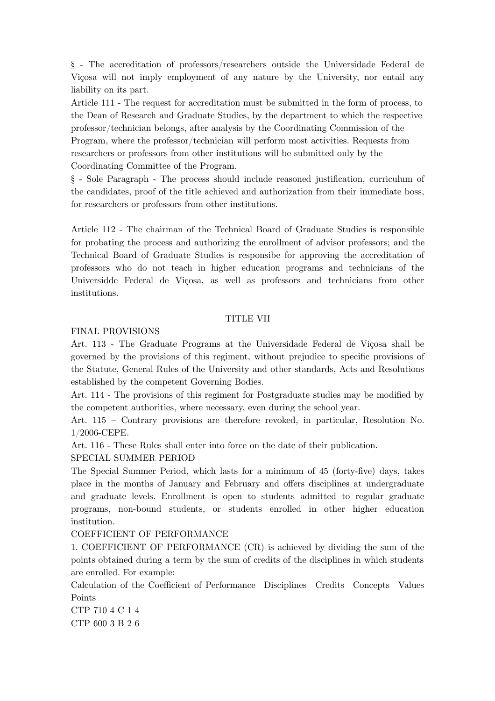§ - The accreditation of professors/researchers outside the Universidade Federal de Viçosa will not imply employment of any nature by the University, nor entail any liability on its part.

Article 111 - The request for accreditation must be submitted in the form of process, to the Dean of Research and Graduate Studies, by the department to which the respective professor/technician belongs, after analysis by the Coordinating Commission of the Program, where the professor/technician will perform most activities. Requests from researchers or professors from other institutions will be submitted only by the Coordinating Committee of the Program.

§ - Sole Paragraph - The process should include reasoned justifcation, curriculum of the candidates, proof of the title achieved and authorization from their immediate boss, for researchers or professors from other institutions.

Article 112 - The chairman of the Technical Board of Graduate Studies is responsible for probating the process and authorizing the enrollment of advisor professors; and the Technical Board of Graduate Studies is responsibe for approving the accreditation of professors who do not teach in higher education programs and technicians of the Universidde Federal de Viçosa, as well as professors and technicians from other institutions.

# TITLE VII

# FINAL PROVISIONS

Art. 113 - The Graduate Programs at the Universidade Federal de Viçosa shall be governed by the provisions of this regiment, without prejudice to specifc provisions of the Statute, General Rules of the University and other standards, Acts and Resolutions established by the competent Governing Bodies.

Art. 114 - The provisions of this regiment for Postgraduate studies may be modifed by the competent authorities, where necessary, even during the school year.

Art. 115 – Contrary provisions are therefore revoked, in particular, Resolution No. 1/2006-CEPE.

Art. 116 - These Rules shall enter into force on the date of their publication.

SPECIAL SUMMER PERIOD

The Special Summer Period, which lasts for a minimum of 45 (forty-fve) days, takes place in the months of January and February and ofers disciplines at undergraduate and graduate levels. Enrollment is open to students admitted to regular graduate programs, non-bound students, or students enrolled in other higher education institution.

# COEFFICIENT OF PERFORMANCE

1. COEFFICIENT OF PERFORMANCE (CR) is achieved by dividing the sum of the points obtained during a term by the sum of credits of the disciplines in which students are enrolled. For example:

Calculation of the Coefficient of Performance Disciplines Credits Concepts Values Points

CTP 710 4 C 1 4 CTP 600 3 B 2 6